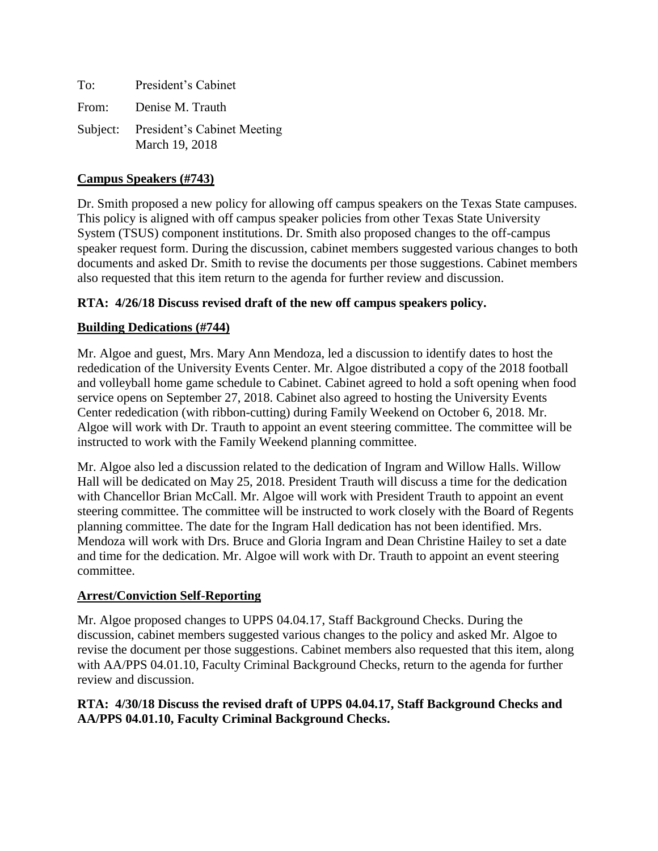| To: | President's Cabinet                                    |
|-----|--------------------------------------------------------|
|     | From: Denise M. Trauth                                 |
|     | Subject: President's Cabinet Meeting<br>March 19, 2018 |

# **Campus Speakers (#743)**

Dr. Smith proposed a new policy for allowing off campus speakers on the Texas State campuses. This policy is aligned with off campus speaker policies from other Texas State University System (TSUS) component institutions. Dr. Smith also proposed changes to the off-campus speaker request form. During the discussion, cabinet members suggested various changes to both documents and asked Dr. Smith to revise the documents per those suggestions. Cabinet members also requested that this item return to the agenda for further review and discussion.

### **RTA: 4/26/18 Discuss revised draft of the new off campus speakers policy.**

### **Building Dedications (#744)**

Mr. Algoe and guest, Mrs. Mary Ann Mendoza, led a discussion to identify dates to host the rededication of the University Events Center. Mr. Algoe distributed a copy of the 2018 football and volleyball home game schedule to Cabinet. Cabinet agreed to hold a soft opening when food service opens on September 27, 2018. Cabinet also agreed to hosting the University Events Center rededication (with ribbon-cutting) during Family Weekend on October 6, 2018. Mr. Algoe will work with Dr. Trauth to appoint an event steering committee. The committee will be instructed to work with the Family Weekend planning committee.

Mr. Algoe also led a discussion related to the dedication of Ingram and Willow Halls. Willow Hall will be dedicated on May 25, 2018. President Trauth will discuss a time for the dedication with Chancellor Brian McCall. Mr. Algoe will work with President Trauth to appoint an event steering committee. The committee will be instructed to work closely with the Board of Regents planning committee. The date for the Ingram Hall dedication has not been identified. Mrs. Mendoza will work with Drs. Bruce and Gloria Ingram and Dean Christine Hailey to set a date and time for the dedication. Mr. Algoe will work with Dr. Trauth to appoint an event steering committee.

#### **Arrest/Conviction Self-Reporting**

Mr. Algoe proposed changes to UPPS 04.04.17, Staff Background Checks. During the discussion, cabinet members suggested various changes to the policy and asked Mr. Algoe to revise the document per those suggestions. Cabinet members also requested that this item, along with AA/PPS 04.01.10, Faculty Criminal Background Checks, return to the agenda for further review and discussion.

# **RTA: 4/30/18 Discuss the revised draft of UPPS 04.04.17, Staff Background Checks and AA/PPS 04.01.10, Faculty Criminal Background Checks.**